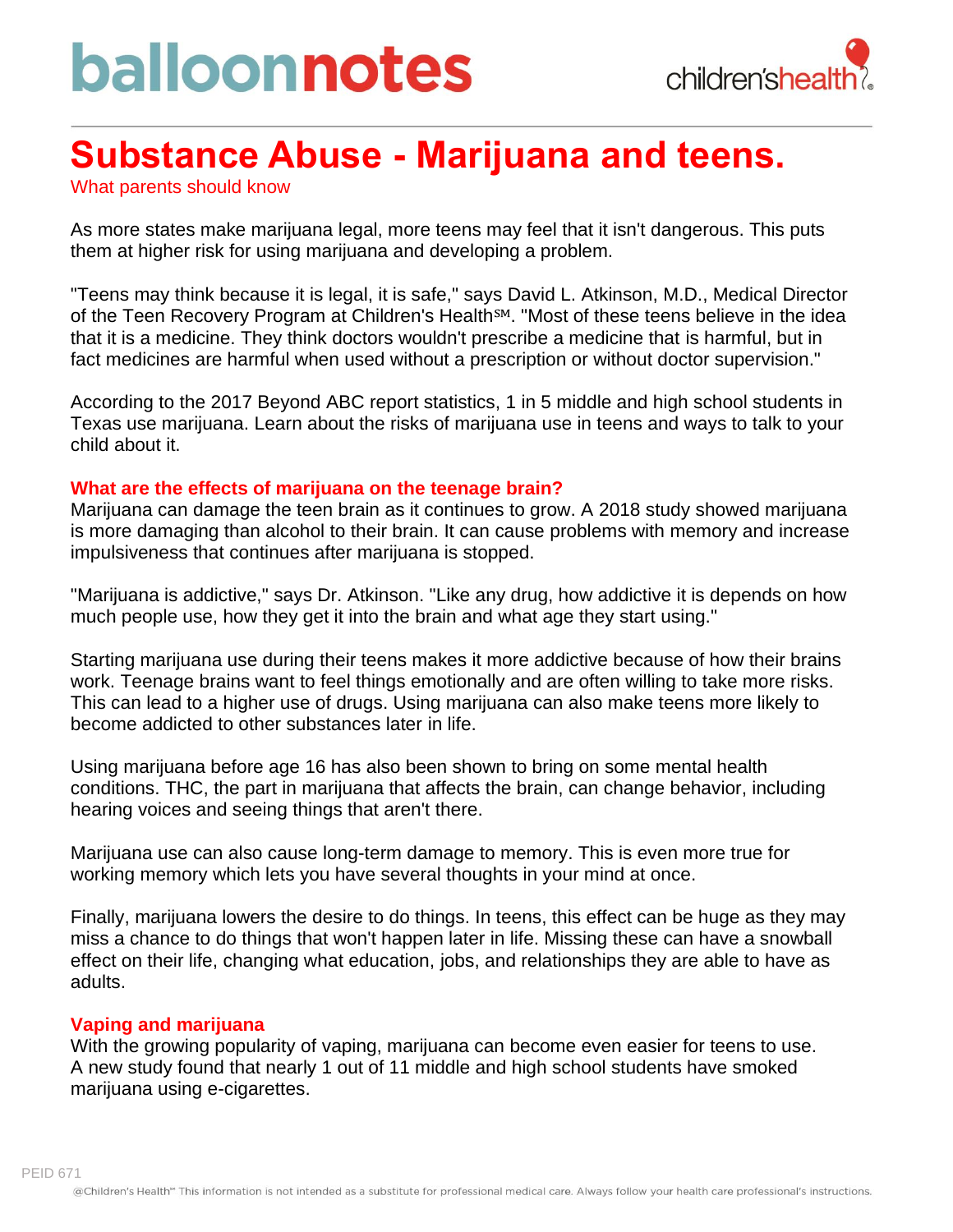# balloonnotes



### **Substance Abuse - Marijuana and teens.**

What parents should know

As more states make marijuana legal, more teens may feel that it isn't dangerous. This puts them at higher risk for using marijuana and developing a problem.

"Teens may think because it is legal, it is safe," says David L. Atkinson, M.D., Medical Director of the Teen Recovery Program at Children's Health<sup>SM</sup>. "Most of these teens believe in the idea that it is a medicine. They think doctors wouldn't prescribe a medicine that is harmful, but in fact medicines are harmful when used without a prescription or without doctor supervision."

According to the 2017 Beyond ABC report statistics, 1 in 5 middle and high school students in Texas use marijuana. Learn about the risks of marijuana use in teens and ways to talk to your child about it.

#### **What are the effects of marijuana on the teenage brain?**

Marijuana can damage the teen brain as it continues to grow. A 2018 study showed marijuana is more damaging than alcohol to their brain. It can cause problems with memory and increase impulsiveness that continues after marijuana is stopped.

"Marijuana is addictive," says Dr. Atkinson. "Like any drug, how addictive it is depends on how much people use, how they get it into the brain and what age they start using."

Starting marijuana use during their teens makes it more addictive because of how their brains work. Teenage brains want to feel things emotionally and are often willing to take more risks. This can lead to a higher use of drugs. Using marijuana can also make teens more likely to become addicted to other substances later in life.

Using marijuana before age 16 has also been shown to bring on some mental health conditions. THC, the part in marijuana that affects the brain, can change behavior, including hearing voices and seeing things that aren't there.

Marijuana use can also cause long-term damage to memory. This is even more true for working memory which lets you have several thoughts in your mind at once.

Finally, marijuana lowers the desire to do things. In teens, this effect can be huge as they may miss a chance to do things that won't happen later in life. Missing these can have a snowball effect on their life, changing what education, jobs, and relationships they are able to have as adults.

#### **Vaping and marijuana**

With the growing popularity of vaping, marijuana can become even easier for teens to use. A new study found that nearly 1 out of 11 middle and high school students have smoked marijuana using e-cigarettes.